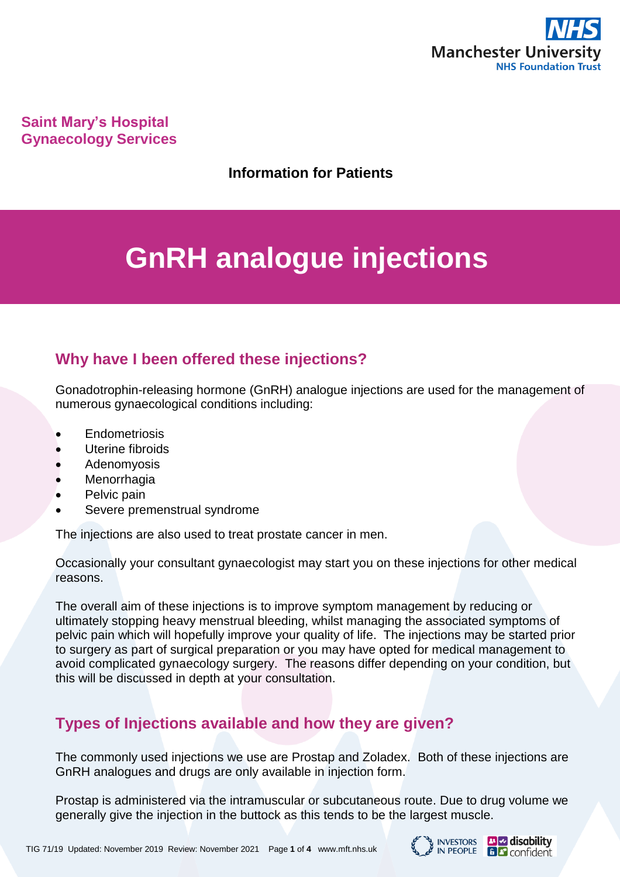

**Saint Mary's Hospital Gynaecology Services**

**Information for Patients**

# **GnRH analogue injections**

# **Why have I been offered these injections?**

Gonadotrophin-releasing hormone (GnRH) analogue injections are used for the management of numerous gynaecological conditions including:

- **Endometriosis**
- Uterine fibroids
- Adenomyosis
- **Menorrhagia**
- Pelvic pain
- Severe premenstrual syndrome

The injections are also used to treat prostate cancer in men.

Occasionally your consultant gynaecologist may start you on these injections for other medical reasons.

The overall aim of these injections is to improve symptom management by reducing or ultimately stopping heavy menstrual bleeding, whilst managing the associated symptoms of pelvic pain which will hopefully improve your quality of life. The injections may be started prior to surgery as part of surgical preparation or you may have opted for medical management to avoid complicated gynaecology surgery. The reasons differ depending on your condition, but this will be discussed in depth at your consultation.

# **Types of Injections available and how they are given?**

The commonly used injections we use are Prostap and Zoladex. Both of these injections are GnRH analogues and drugs are only available in injection form.

Prostap is administered via the intramuscular or subcutaneous route. Due to drug volume we generally give the injection in the buttock as this tends to be the largest muscle.

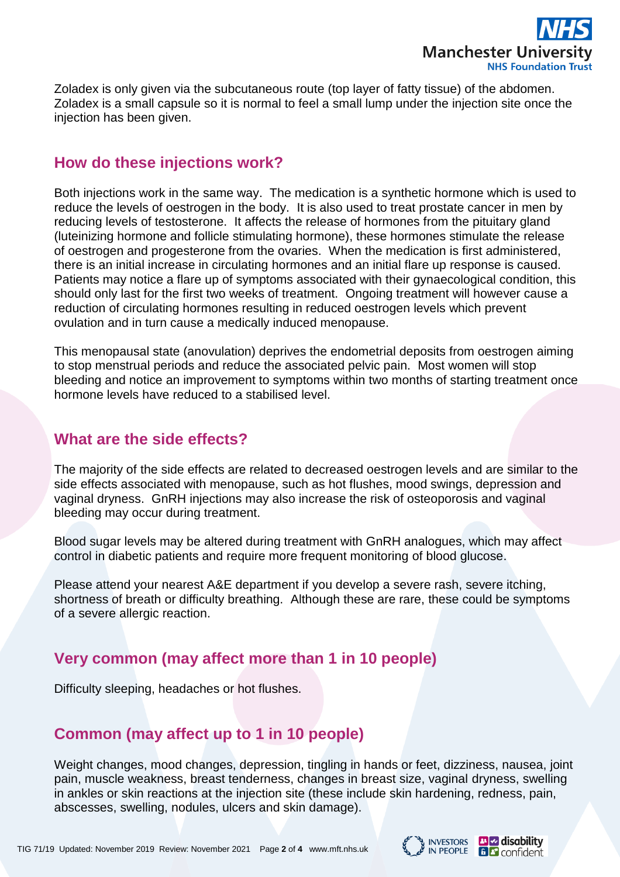

Zoladex is only given via the subcutaneous route (top layer of fatty tissue) of the abdomen. Zoladex is a small capsule so it is normal to feel a small lump under the injection site once the injection has been given.

#### **How do these injections work?**

Both injections work in the same way. The medication is a synthetic hormone which is used to reduce the levels of oestrogen in the body. It is also used to treat prostate cancer in men by reducing levels of testosterone. It affects the release of hormones from the pituitary gland (luteinizing hormone and follicle stimulating hormone), these hormones stimulate the release of oestrogen and progesterone from the ovaries. When the medication is first administered, there is an initial increase in circulating hormones and an initial flare up response is caused. Patients may notice a flare up of symptoms associated with their gynaecological condition, this should only last for the first two weeks of treatment. Ongoing treatment will however cause a reduction of circulating hormones resulting in reduced oestrogen levels which prevent ovulation and in turn cause a medically induced menopause.

This menopausal state (anovulation) deprives the endometrial deposits from oestrogen aiming to stop menstrual periods and reduce the associated pelvic pain. Most women will stop bleeding and notice an improvement to symptoms within two months of starting treatment once hormone levels have reduced to a stabilised level.

#### **What are the side effects?**

The majority of the side effects are related to decreased oestrogen levels and are similar to the side effects associated with menopause, such as hot flushes, mood swings, depression and vaginal dryness. GnRH injections may also increase the risk of osteoporosis and vaginal bleeding may occur during treatment.

Blood sugar levels may be altered during treatment with GnRH analogues, which may affect control in diabetic patients and require more frequent monitoring of blood glucose.

Please attend your nearest A&E department if you develop a severe rash, severe itching, shortness of breath or difficulty breathing. Although these are rare, these could be symptoms of a severe allergic reaction.

#### **Very common (may affect more than 1 in 10 people)**

Difficulty sleeping, headaches or hot flushes.

# **Common (may affect up to 1 in 10 people)**

Weight changes, mood changes, depression, tingling in hands or feet, dizziness, nausea, joint pain, muscle weakness, breast tenderness, changes in breast size, vaginal dryness, swelling in ankles or skin reactions at the injection site (these include skin hardening, redness, pain, abscesses, swelling, nodules, ulcers and skin damage).

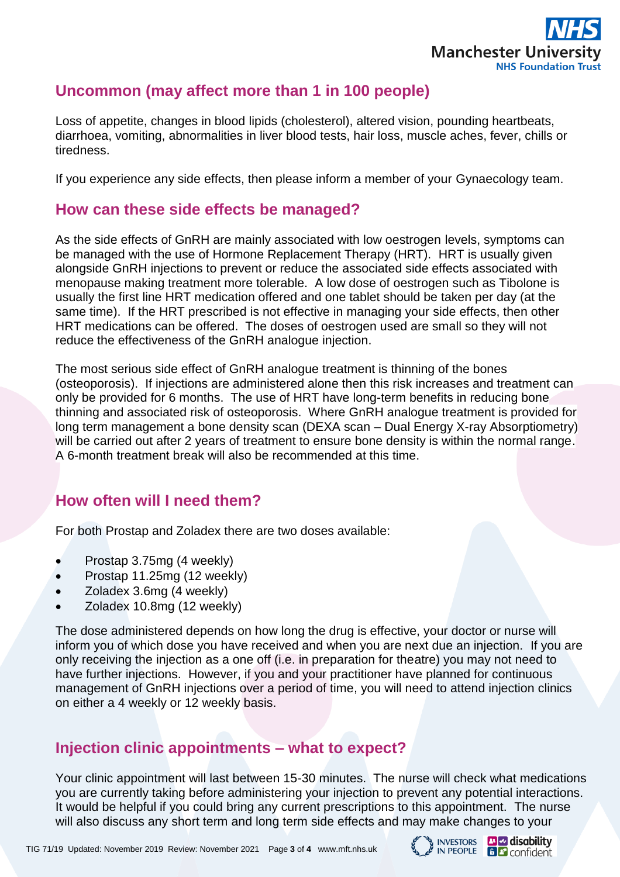

# **Uncommon (may affect more than 1 in 100 people)**

Loss of appetite, changes in blood lipids (cholesterol), altered vision, pounding heartbeats, diarrhoea, vomiting, abnormalities in liver blood tests, hair loss, muscle aches, fever, chills or tiredness.

If you experience any side effects, then please inform a member of your Gynaecology team.

# **How can these side effects be managed?**

As the side effects of GnRH are mainly associated with low oestrogen levels, symptoms can be managed with the use of Hormone Replacement Therapy (HRT). HRT is usually given alongside GnRH injections to prevent or reduce the associated side effects associated with menopause making treatment more tolerable. A low dose of oestrogen such as Tibolone is usually the first line HRT medication offered and one tablet should be taken per day (at the same time). If the HRT prescribed is not effective in managing your side effects, then other HRT medications can be offered. The doses of oestrogen used are small so they will not reduce the effectiveness of the GnRH analogue injection.

The most serious side effect of GnRH analogue treatment is thinning of the bones (osteoporosis). If injections are administered alone then this risk increases and treatment can only be provided for 6 months. The use of HRT have long-term benefits in reducing bone thinning and associated risk of osteoporosis. Where GnRH analogue treatment is provided for long term management a bone density scan (DEXA scan – Dual Energy X-ray Absorptiometry) will be carried out after 2 years of treatment to ensure bone density is within the normal range. A 6-month treatment break will also be recommended at this time.

## **How often will I need them?**

For both Prostap and Zoladex there are two doses available:

- Prostap 3.75mg (4 weekly)
- Prostap 11.25mg (12 weekly)
- Zoladex 3.6mg (4 weekly)
- Zoladex 10.8mg (12 weekly)

The dose administered depends on how long the drug is effective, your doctor or nurse will inform you of which dose you have received and when you are next due an injection. If you are only receiving the injection as a one off (i.e. in preparation for theatre) you may not need to have further injections. However, if you and your practitioner have planned for continuous management of GnRH injections over a period of time, you will need to attend injection clinics on either a 4 weekly or 12 weekly basis.

## **Injection clinic appointments – what to expect?**

Your clinic appointment will last between 15-30 minutes. The nurse will check what medications you are currently taking before administering your injection to prevent any potential interactions. It would be helpful if you could bring any current prescriptions to this appointment. The nurse will also discuss any short term and long term side effects and may make changes to your